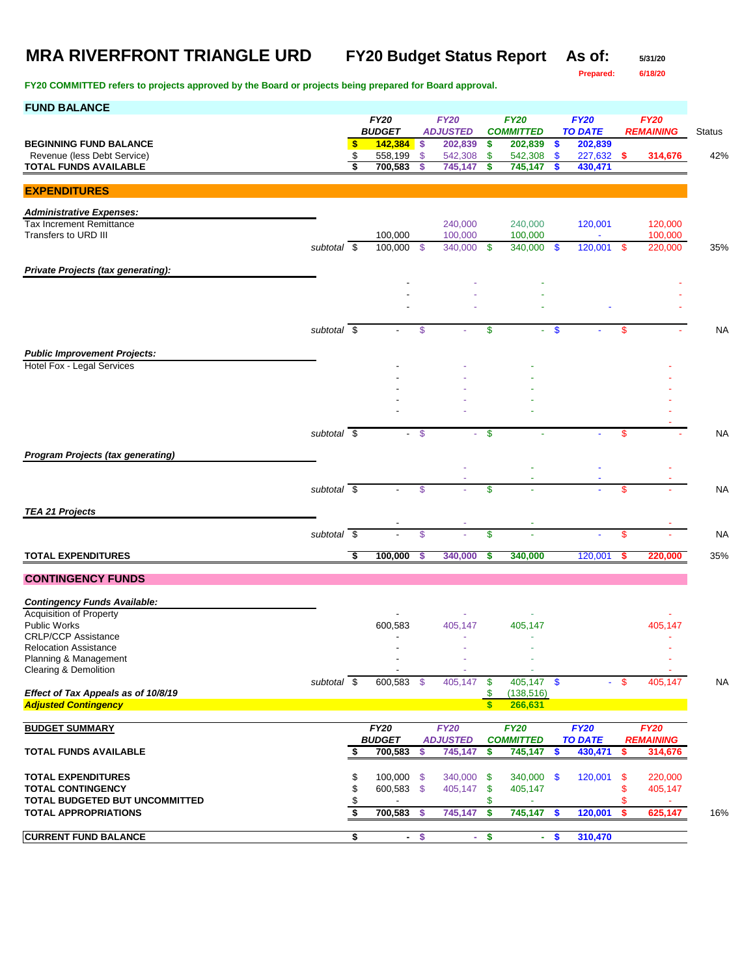**Prepared: 6/18/20**

| <b>FUND BALANCE</b>                                                |                          |                                |        |                            |                    |                             |               |                           |     |                  |               |
|--------------------------------------------------------------------|--------------------------|--------------------------------|--------|----------------------------|--------------------|-----------------------------|---------------|---------------------------|-----|------------------|---------------|
|                                                                    |                          | <b>FY20</b>                    |        | <b>FY20</b>                |                    | <b>FY20</b>                 |               | <b>FY20</b>               |     | <b>FY20</b>      |               |
| <b>BEGINNING FUND BALANCE</b>                                      |                          | \$<br><b>BUDGET</b><br>142,384 | -S     | <b>ADJUSTED</b><br>202,839 | \$                 | <b>COMMITTED</b><br>202,839 | \$            | <b>TO DATE</b><br>202,839 |     | <b>REMAINING</b> | <b>Status</b> |
| Revenue (less Debt Service)                                        |                          | \$<br>558,199                  | \$     | 542,308                    | \$                 | 542,308                     | \$            | 227,632                   | S.  | 314,676          | 42%           |
| <b>TOTAL FUNDS AVAILABLE</b>                                       |                          | \$<br>700,583                  | \$     | 745,147                    | S                  | 745,147                     | S             | 430,471                   |     |                  |               |
|                                                                    |                          |                                |        |                            |                    |                             |               |                           |     |                  |               |
| <b>EXPENDITURES</b>                                                |                          |                                |        |                            |                    |                             |               |                           |     |                  |               |
| <b>Administrative Expenses:</b>                                    |                          |                                |        |                            |                    |                             |               |                           |     |                  |               |
| <b>Tax Increment Remittance</b>                                    |                          |                                |        | 240.000                    |                    | 240,000                     |               | 120,001                   |     | 120,000          |               |
| Transfers to URD III                                               | subtotal $\overline{\$}$ | 100,000<br>100,000 \$          |        | 100,000                    |                    | 100,000<br>340,000          |               | $\blacksquare$            |     | 100,000          |               |
|                                                                    |                          |                                |        | 340,000                    | -\$                |                             | -\$           | $120,001$ \$              |     | 220,000          | 35%           |
| Private Projects (tax generating):                                 |                          |                                |        |                            |                    |                             |               |                           |     |                  |               |
|                                                                    |                          |                                |        |                            |                    |                             |               |                           |     |                  |               |
|                                                                    |                          |                                |        |                            |                    |                             |               |                           |     |                  |               |
|                                                                    |                          |                                |        |                            |                    |                             |               |                           |     |                  |               |
|                                                                    | subtotal \$              |                                | \$     |                            | \$                 | $\sim$                      | $\mathbf{\$}$ |                           | \$  |                  | <b>NA</b>     |
|                                                                    |                          |                                |        |                            |                    |                             |               |                           |     |                  |               |
| <b>Public Improvement Projects:</b>                                |                          |                                |        |                            |                    |                             |               |                           |     |                  |               |
| Hotel Fox - Legal Services                                         |                          |                                |        |                            |                    |                             |               |                           |     |                  |               |
|                                                                    |                          |                                |        |                            |                    |                             |               |                           |     |                  |               |
|                                                                    |                          |                                |        |                            |                    |                             |               |                           |     |                  |               |
|                                                                    |                          |                                |        |                            |                    |                             |               |                           |     |                  |               |
|                                                                    |                          |                                |        |                            |                    |                             |               |                           |     |                  |               |
|                                                                    | subtotal $\overline{\$}$ |                                | $-$ \$ | ÷.                         | \$                 |                             |               |                           | \$  |                  | <b>NA</b>     |
| <b>Program Projects (tax generating)</b>                           |                          |                                |        |                            |                    |                             |               |                           |     |                  |               |
|                                                                    |                          |                                |        |                            |                    |                             |               |                           |     |                  |               |
|                                                                    | subtotal \$              |                                | \$     |                            | \$                 |                             |               |                           |     |                  | <b>NA</b>     |
|                                                                    |                          |                                |        |                            |                    |                             |               |                           | \$  |                  |               |
| <b>TEA 21 Projects</b>                                             |                          |                                |        |                            |                    |                             |               |                           |     |                  |               |
|                                                                    |                          |                                |        |                            |                    |                             |               |                           |     |                  |               |
|                                                                    | subtotal \$              |                                | \$     |                            | \$                 |                             |               |                           | \$  |                  | <b>NA</b>     |
| <b>TOTAL EXPENDITURES</b>                                          |                          | \$<br>100,000                  | S      | 340,000                    | \$                 | 340,000                     |               | 120,001                   | s   | 220,000          | 35%           |
|                                                                    |                          |                                |        |                            |                    |                             |               |                           |     |                  |               |
| <b>CONTINGENCY FUNDS</b>                                           |                          |                                |        |                            |                    |                             |               |                           |     |                  |               |
| <b>Contingency Funds Available:</b>                                |                          |                                |        |                            |                    |                             |               |                           |     |                  |               |
| <b>Acquisition of Property</b>                                     |                          |                                |        |                            |                    |                             |               |                           |     |                  |               |
| <b>Public Works</b>                                                |                          | 600,583                        |        | 405,147                    |                    | 405,147                     |               |                           |     | 405,147          |               |
| <b>CRLP/CCP Assistance</b><br><b>Relocation Assistance</b>         |                          |                                |        |                            |                    |                             |               |                           |     |                  |               |
| Planning & Management                                              |                          |                                |        |                            |                    |                             |               |                           |     |                  |               |
| Clearing & Demolition                                              |                          |                                |        |                            |                    |                             |               |                           |     |                  |               |
|                                                                    | subtotal \$              | 600,583 \$                     |        | 405,147                    | -\$                | $405,147$ \$                |               | $\sim$                    | -\$ | 405.147          | <b>NA</b>     |
| Effect of Tax Appeals as of 10/8/19<br><b>Adjusted Contingency</b> |                          |                                |        |                            | \$<br>$\mathbf{s}$ | (138, 516)<br>266,631       |               |                           |     |                  |               |
|                                                                    |                          |                                |        |                            |                    |                             |               |                           |     |                  |               |
| <b>BUDGET SUMMARY</b>                                              |                          | <b>FY20</b>                    |        | <b>FY20</b>                |                    | <b>FY20</b>                 |               | <b>FY20</b>               |     | <b>FY20</b>      |               |
|                                                                    |                          | <b>BUDGET</b>                  |        | <b>ADJUSTED</b>            |                    | <b>COMMITTED</b>            |               | <b>TO DATE</b>            |     | <b>REMAINING</b> |               |
| <b>TOTAL FUNDS AVAILABLE</b>                                       |                          | \$<br>700,583                  | \$     | 745,147                    | \$                 | 745,147                     | \$            | 430,471                   | \$  | 314,676          |               |
| <b>TOTAL EXPENDITURES</b>                                          |                          | \$<br>$100,000$ \$             |        | 340,000                    | -\$                | 340,000 \$                  |               | 120,001                   | -\$ | 220,000          |               |
| <b>TOTAL CONTINGENCY</b>                                           |                          | \$<br>600,583 \$               |        | 405,147                    | \$                 | 405,147                     |               |                           | \$  | 405,147          |               |
| TOTAL BUDGETED BUT UNCOMMITTED                                     |                          | \$                             |        |                            | \$                 |                             |               |                           | \$  |                  |               |
| <b>TOTAL APPROPRIATIONS</b>                                        |                          | \$<br>700,583                  | -\$    | 745,147                    | \$                 | 745,147                     | \$            | 120,001                   | -\$ | 625,147          | 16%           |
|                                                                    |                          |                                |        |                            |                    |                             |               |                           |     |                  |               |
| <b>CURRENT FUND BALANCE</b>                                        |                          | \$                             | $-$ \$ |                            | $-$ \$             |                             | $-5$          | 310,470                   |     |                  |               |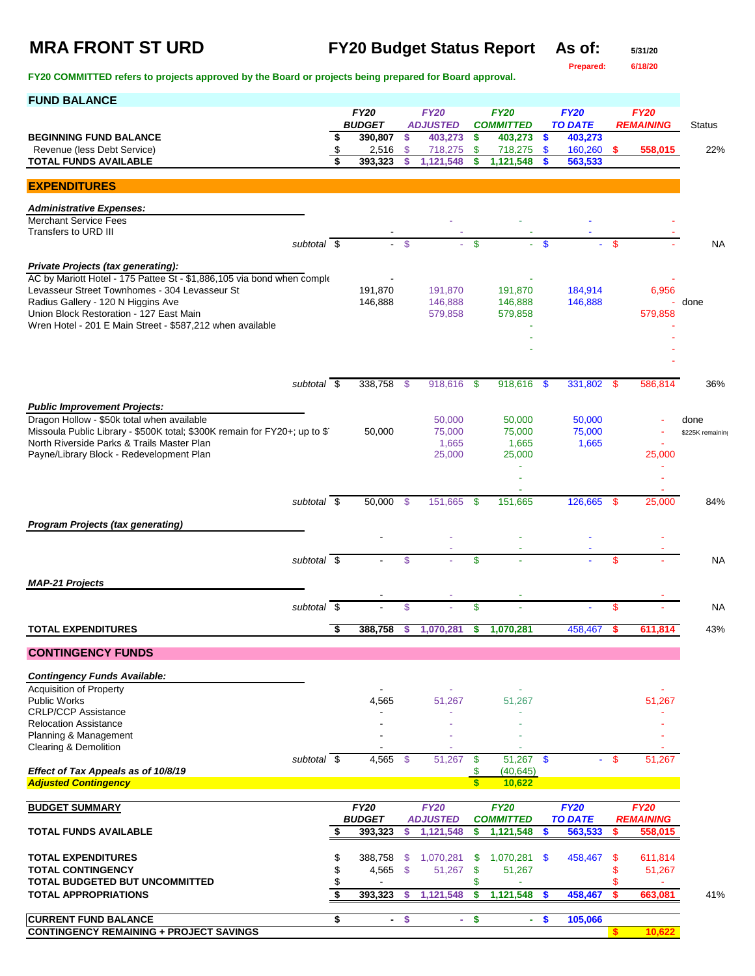## **MRA FRONT ST URD FY20 Budget Status Report As of: 5/31/20**

**Prepared: 6/18/20**

| <b>FUND BALANCE</b>                                                                                  |          |                  |                     |                    |                   |                          |                     |                    |          |                  |                  |
|------------------------------------------------------------------------------------------------------|----------|------------------|---------------------|--------------------|-------------------|--------------------------|---------------------|--------------------|----------|------------------|------------------|
|                                                                                                      |          | <b>FY20</b>      |                     | <b>FY20</b>        |                   | <b>FY20</b>              |                     | <b>FY20</b>        |          | <b>FY20</b>      |                  |
|                                                                                                      |          | <b>BUDGET</b>    |                     | <b>ADJUSTED</b>    |                   | <b>COMMITTED</b>         |                     | <b>TO DATE</b>     |          | <b>REMAINING</b> | <b>Status</b>    |
| <b>BEGINNING FUND BALANCE</b><br>Revenue (less Debt Service)                                         | \$<br>\$ | 390,807<br>2,516 | \$<br>$\mathsf{\$}$ | 403,273<br>718,275 | \$<br>\$          | 403,273<br>718,275       | \$<br>$\mathbf{\$}$ | 403,273<br>160,260 | \$.      | 558,015          | 22%              |
| <b>TOTAL FUNDS AVAILABLE</b>                                                                         | \$       | 393,323          | \$.                 | 1,121,548          | s                 | 1,121,548                |                     | 563,533            |          |                  |                  |
|                                                                                                      |          |                  |                     |                    |                   |                          |                     |                    |          |                  |                  |
| <b>EXPENDITURES</b>                                                                                  |          |                  |                     |                    |                   |                          |                     |                    |          |                  |                  |
| <b>Administrative Expenses:</b>                                                                      |          |                  |                     |                    |                   |                          |                     |                    |          |                  |                  |
| <b>Merchant Service Fees</b>                                                                         |          |                  |                     |                    |                   |                          |                     |                    |          |                  |                  |
| Transfers to URD III                                                                                 |          |                  |                     |                    |                   |                          |                     |                    |          |                  |                  |
| subtotal \$                                                                                          |          | $\sim$           | $\mathcal{S}$       | a.                 | $\mathsf{\$}$     |                          | $\mathbf{s}$        |                    | <b>S</b> |                  | NA               |
| Private Projects (tax generating):                                                                   |          |                  |                     |                    |                   |                          |                     |                    |          |                  |                  |
| AC by Mariott Hotel - 175 Pattee St - \$1,886,105 via bond when comple                               |          |                  |                     |                    |                   |                          |                     |                    |          |                  |                  |
| Levasseur Street Townhomes - 304 Levasseur St                                                        |          | 191,870          |                     | 191,870            |                   | 191,870                  |                     | 184,914            |          | 6,956            |                  |
| Radius Gallery - 120 N Higgins Ave                                                                   |          | 146,888          |                     | 146,888            |                   | 146,888                  |                     | 146,888            |          | ÷                | done             |
| Union Block Restoration - 127 East Main<br>Wren Hotel - 201 E Main Street - \$587,212 when available |          |                  |                     | 579,858            |                   | 579,858                  |                     |                    |          | 579,858          |                  |
|                                                                                                      |          |                  |                     |                    |                   |                          |                     |                    |          |                  |                  |
|                                                                                                      |          |                  |                     |                    |                   |                          |                     |                    |          |                  |                  |
|                                                                                                      |          |                  |                     |                    |                   |                          |                     |                    |          |                  |                  |
|                                                                                                      |          |                  |                     |                    |                   |                          |                     |                    |          |                  |                  |
| subtotal \$                                                                                          |          | 338,758 \$       |                     | 918,616            | - \$              | 918,616                  | -\$                 | 331,802 \$         |          | 586,814          | 36%              |
| <b>Public Improvement Projects:</b>                                                                  |          |                  |                     |                    |                   |                          |                     |                    |          |                  |                  |
| Dragon Hollow - \$50k total when available                                                           |          |                  |                     | 50,000             |                   | 50,000                   |                     | 50,000             |          |                  | done             |
| Missoula Public Library - \$500K total; \$300K remain for FY20+; up to \$1                           |          | 50,000           |                     | 75,000             |                   | 75,000                   |                     | 75,000             |          |                  | \$225K remaining |
| North Riverside Parks & Trails Master Plan                                                           |          |                  |                     | 1,665              |                   | 1,665                    |                     | 1,665              |          |                  |                  |
| Payne/Library Block - Redevelopment Plan                                                             |          |                  |                     | 25,000             |                   | 25,000                   |                     |                    |          | 25,000           |                  |
|                                                                                                      |          |                  |                     |                    |                   |                          |                     |                    |          |                  |                  |
|                                                                                                      |          |                  |                     |                    |                   |                          |                     |                    |          |                  |                  |
| subtotal $\overline{\$}$                                                                             |          | 50,000 \$        |                     | 151,665            | - \$              | 151,665                  |                     | 126,665 \$         |          | 25,000           | 84%              |
|                                                                                                      |          |                  |                     |                    |                   |                          |                     |                    |          |                  |                  |
| <b>Program Projects (tax generating)</b>                                                             |          |                  |                     |                    |                   |                          |                     |                    |          |                  |                  |
|                                                                                                      |          |                  |                     |                    |                   |                          |                     |                    |          |                  |                  |
|                                                                                                      |          |                  |                     |                    |                   |                          |                     |                    |          |                  |                  |
| subtotal \$                                                                                          |          |                  | \$                  |                    | \$                |                          |                     |                    | \$       |                  | NA               |
| <b>MAP-21 Projects</b>                                                                               |          |                  |                     |                    |                   |                          |                     |                    |          |                  |                  |
|                                                                                                      |          |                  |                     |                    |                   |                          |                     |                    |          |                  |                  |
| subtotal \$                                                                                          |          |                  | \$                  |                    | \$                |                          |                     |                    | \$       |                  | NA               |
| <b>TOTAL EXPENDITURES</b>                                                                            | \$       | 388,758          | \$                  | 1,070,281          | \$                | 1,070,281                |                     | 458.467            | \$       | 611,814          | 43%              |
|                                                                                                      |          |                  |                     |                    |                   |                          |                     |                    |          |                  |                  |
| <b>CONTINGENCY FUNDS</b>                                                                             |          |                  |                     |                    |                   |                          |                     |                    |          |                  |                  |
|                                                                                                      |          |                  |                     |                    |                   |                          |                     |                    |          |                  |                  |
| <b>Contingency Funds Available:</b><br><b>Acquisition of Property</b>                                |          |                  |                     |                    |                   |                          |                     |                    |          |                  |                  |
| Public Works                                                                                         |          | 4,565            |                     | 51,267             |                   | 51,267                   |                     |                    |          | 51,267           |                  |
| <b>CRLP/CCP Assistance</b>                                                                           |          |                  |                     |                    |                   |                          |                     |                    |          |                  |                  |
| <b>Relocation Assistance</b>                                                                         |          |                  |                     |                    |                   |                          |                     |                    |          |                  |                  |
| Planning & Management                                                                                |          |                  |                     |                    |                   |                          |                     |                    |          |                  |                  |
| Clearing & Demolition                                                                                |          |                  |                     |                    |                   |                          |                     |                    |          |                  |                  |
| subtotal \$<br>Effect of Tax Appeals as of 10/8/19                                                   |          | 4,565            | - \$                | 51,267             | \$<br>\$          | $51,267$ \$<br>(40, 645) |                     | ÷.                 | \$       | 51,267           |                  |
| <b>Adjusted Contingency</b>                                                                          |          |                  |                     |                    | $\boldsymbol{s}$  | 10,622                   |                     |                    |          |                  |                  |
|                                                                                                      |          |                  |                     |                    |                   |                          |                     |                    |          |                  |                  |
| <b>BUDGET SUMMARY</b>                                                                                |          | FY20             |                     | <b>FY20</b>        |                   | <b>FY20</b>              |                     | <b>FY20</b>        |          | <b>FY20</b>      |                  |
|                                                                                                      |          | <b>BUDGET</b>    |                     | <b>ADJUSTED</b>    |                   | <b>COMMITTED</b>         |                     | <b>TO DATE</b>     |          | <b>REMAINING</b> |                  |
| <b>TOTAL FUNDS AVAILABLE</b>                                                                         | S        | 393,323          | \$                  | 1,121,548          | \$                | 1,121,548                | \$                  | 563,533            | \$       | 558,015          |                  |
|                                                                                                      |          |                  |                     |                    |                   |                          |                     |                    |          |                  |                  |
| <b>TOTAL EXPENDITURES</b>                                                                            | \$       | 388,758          | -\$                 | 1,070,281          | \$                | 1,070,281                | $\mathbf{\$}$       | 458,467            | \$       | 611,814          |                  |
| <b>TOTAL CONTINGENCY</b><br>TOTAL BUDGETED BUT UNCOMMITTED                                           | \$<br>\$ | $4,565$ \$       |                     | 51,267             | \$<br>\$          | 51,267                   |                     |                    | \$<br>\$ | 51,267           |                  |
| <b>TOTAL APPROPRIATIONS</b>                                                                          | s,       | 393,323          | -\$                 | 1,121,548          | \$                | 1,121,548                | \$                  | 458,467            | \$       | 663,081          | 41%              |
|                                                                                                      |          |                  |                     |                    |                   |                          |                     |                    |          |                  |                  |
| <b>CURRENT FUND BALANCE</b>                                                                          | \$       | $\sim$           | \$                  | ÷.                 | $\boldsymbol{\$}$ | ٠                        | $\mathbf{\$}$       | 105,066            |          |                  |                  |
| <b>CONTINGENCY REMAINING + PROJECT SAVINGS</b>                                                       |          |                  |                     |                    |                   |                          |                     |                    | s.       | 10,622           |                  |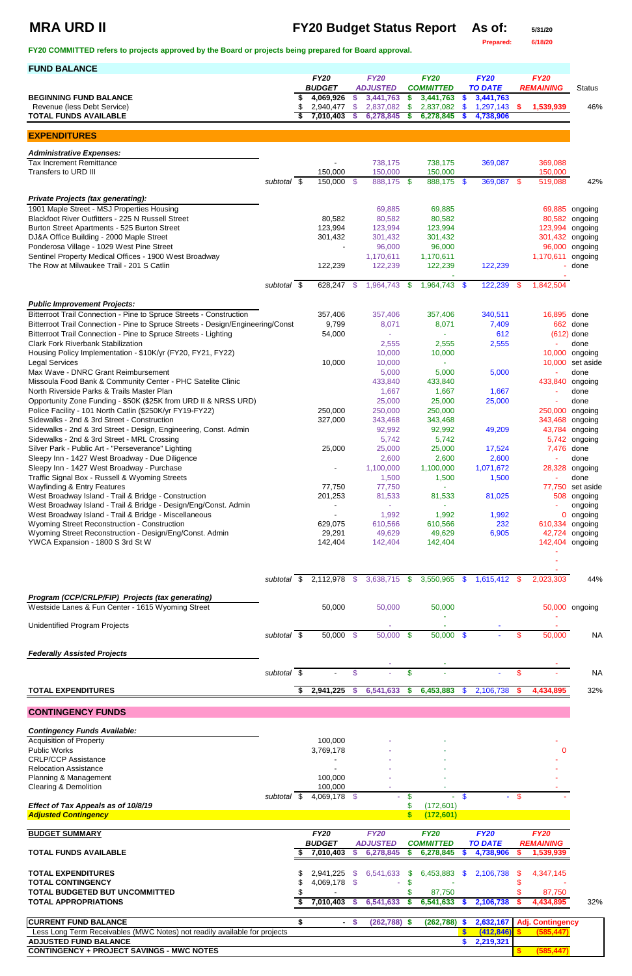# **MRA URD II FY20 Budget Status Report As of: 5/31/20**

**Prepared: 6/18/20**

**FY20 COMMITTED refers to projects approved by the Board or projects being prepared for Board approval.** 

| <b>FUND BALANCE</b>                                                                                                                                |             |                            |            |                              |      |                               |               |                             |               |                                    |                          |
|----------------------------------------------------------------------------------------------------------------------------------------------------|-------------|----------------------------|------------|------------------------------|------|-------------------------------|---------------|-----------------------------|---------------|------------------------------------|--------------------------|
|                                                                                                                                                    |             | <b>FY20</b>                |            | <b>FY20</b>                  |      | <b>FY20</b>                   |               | <b>FY20</b>                 |               | <b>FY20</b>                        |                          |
| <b>BEGINNING FUND BALANCE</b>                                                                                                                      |             | <b>BUDGET</b><br>4,069,926 | \$         | <b>ADJUSTED</b><br>3,441,763 | \$   | <b>COMMITTED</b><br>3,441,763 | \$            | <b>TO DATE</b><br>3,441,763 |               | <b>REMAINING</b>                   | <b>Status</b>            |
| Revenue (less Debt Service)                                                                                                                        |             | 2,940,477                  | \$.        | 2,837,082                    | \$   | 2,837,082                     | \$.           | 1,297,143                   | \$.           | 1,539,939                          | 46%                      |
| <b>TOTAL FUNDS AVAILABLE</b>                                                                                                                       |             | 7,010,403                  | S          | 6,278,845                    | \$   | 6,278,845                     |               | 4,738,906                   |               |                                    |                          |
| <b>EXPENDITURES</b>                                                                                                                                |             |                            |            |                              |      |                               |               |                             |               |                                    |                          |
|                                                                                                                                                    |             |                            |            |                              |      |                               |               |                             |               |                                    |                          |
| <b>Administrative Expenses:</b>                                                                                                                    |             |                            |            |                              |      |                               |               |                             |               |                                    |                          |
| <b>Tax Increment Remittance</b><br>Transfers to URD III                                                                                            |             | 150,000                    |            | 738,175<br>150,000           |      | 738,175<br>150,000            |               | 369,087                     |               | 369,088<br>150,000                 |                          |
|                                                                                                                                                    | subtotal \$ | 150,000 \$                 |            | 888,175 \$                   |      | 888,175 \$                    |               | 369,087 \$                  |               | 519,088                            | 42%                      |
|                                                                                                                                                    |             |                            |            |                              |      |                               |               |                             |               |                                    |                          |
| <b>Private Projects (tax generating):</b><br>1901 Maple Street - MSJ Properties Housing                                                            |             |                            |            | 69,885                       |      | 69,885                        |               |                             |               |                                    | 69,885 ongoing           |
| Blackfoot River Outfitters - 225 N Russell Street                                                                                                  |             | 80,582                     |            | 80,582                       |      | 80,582                        |               |                             |               |                                    | 80,582 ongoing           |
| Burton Street Apartments - 525 Burton Street                                                                                                       |             | 123,994                    |            | 123,994                      |      | 123,994                       |               |                             |               | 123,994                            | ongoing                  |
| DJ&A Office Building - 2000 Maple Street                                                                                                           |             | 301,432                    |            | 301,432                      |      | 301,432                       |               |                             |               | 301,432 ongoing                    |                          |
| Ponderosa Village - 1029 West Pine Street                                                                                                          |             |                            |            | 96,000                       |      | 96,000                        |               |                             |               |                                    | 96,000 ongoing           |
| Sentinel Property Medical Offices - 1900 West Broadway                                                                                             |             |                            |            | 1,170,611                    |      | 1,170,611                     |               |                             |               | 1,170,611                          | ongoing                  |
| The Row at Milwaukee Trail - 201 S Catlin                                                                                                          |             | 122,239                    |            | 122,239                      |      | 122,239                       |               | 122,239                     |               |                                    | done                     |
|                                                                                                                                                    | subtotal \$ | 628,247 \$                 |            | 1,964,743                    | - \$ | 1,964,743 \$                  |               | 122,239                     | - \$          | 1,842,504                          |                          |
|                                                                                                                                                    |             |                            |            |                              |      |                               |               |                             |               |                                    |                          |
| <b>Public Improvement Projects:</b>                                                                                                                |             |                            |            |                              |      |                               |               |                             |               |                                    |                          |
| Bitterroot Trail Connection - Pine to Spruce Streets - Construction                                                                                |             | 357,406                    |            | 357,406                      |      | 357,406                       |               | 340,511                     |               | 16,895 done                        |                          |
| Bitterroot Trail Connection - Pine to Spruce Streets - Design/Engineering/Const<br>Bitterroot Trail Connection - Pine to Spruce Streets - Lighting |             | 9,799<br>54,000            |            | 8,071                        |      | 8,071                         |               | 7,409<br>612                |               |                                    | 662 done<br>$(612)$ done |
| <b>Clark Fork Riverbank Stabilization</b>                                                                                                          |             |                            |            | 2,555                        |      | 2,555                         |               | 2,555                       |               |                                    | done                     |
| Housing Policy Implementation - \$10K/yr (FY20, FY21, FY22)                                                                                        |             |                            |            | 10,000                       |      | 10,000                        |               |                             |               |                                    | 10,000 ongoing           |
| <b>Legal Services</b>                                                                                                                              |             | 10,000                     |            | 10,000                       |      |                               |               |                             |               |                                    | 10,000 set aside         |
| Max Wave - DNRC Grant Reimbursement                                                                                                                |             |                            |            | 5,000                        |      | 5,000                         |               | 5,000                       |               |                                    | done                     |
| Missoula Food Bank & Community Center - PHC Satelite Clinic                                                                                        |             |                            |            | 433,840                      |      | 433,840                       |               |                             |               | 433,840 ongoing                    |                          |
| North Riverside Parks & Trails Master Plan                                                                                                         |             |                            |            | 1,667                        |      | 1,667                         |               | 1,667                       |               |                                    | done                     |
| Opportunity Zone Funding - \$50K (\$25K from URD II & NRSS URD)                                                                                    |             |                            |            | 25,000                       |      | 25,000                        |               | 25,000                      |               |                                    | done                     |
| Police Facility - 101 North Catlin (\$250K/yr FY19-FY22)<br>Sidewalks - 2nd & 3rd Street - Construction                                            |             | 250,000<br>327,000         |            | 250,000<br>343,468           |      | 250,000<br>343,468            |               |                             |               | 250,000 ongoing<br>343,468 ongoing |                          |
| Sidewalks - 2nd & 3rd Street - Design, Engineering, Const. Admin                                                                                   |             |                            |            | 92,992                       |      | 92,992                        |               | 49,209                      |               |                                    | 43,784 ongoing           |
| Sidewalks - 2nd & 3rd Street - MRL Crossing                                                                                                        |             |                            |            | 5,742                        |      | 5,742                         |               |                             |               |                                    | 5,742 ongoing            |
| Silver Park - Public Art - "Perseverance" Lighting                                                                                                 |             | 25,000                     |            | 25,000                       |      | 25,000                        |               | 17,524                      |               | 7,476 done                         |                          |
| Sleepy Inn - 1427 West Broadway - Due Diligence                                                                                                    |             |                            |            | 2,600                        |      | 2,600                         |               | 2,600                       |               |                                    | done                     |
| Sleepy Inn - 1427 West Broadway - Purchase                                                                                                         |             |                            |            | 1,100,000                    |      | 1,100,000                     |               | 1,071,672                   |               |                                    | 28,328 ongoing           |
| Traffic Signal Box - Russell & Wyoming Streets                                                                                                     |             |                            |            | 1,500                        |      | 1,500                         |               | 1,500                       |               |                                    | done                     |
| <b>Wayfinding &amp; Entry Features</b>                                                                                                             |             | 77,750                     |            | 77,750                       |      |                               |               |                             |               |                                    | 77,750 set aside         |
| West Broadway Island - Trail & Bridge - Construction<br>West Broadway Island - Trail & Bridge - Design/Eng/Const. Admin                            |             | 201,253                    |            | 81,533                       |      | 81,533                        |               | 81,025                      |               |                                    | 508 ongoing<br>ongoing   |
| West Broadway Island - Trail & Bridge - Miscellaneous                                                                                              |             |                            |            | 1,992                        |      | 1,992                         |               | 1,992                       |               |                                    | 0 ongoing                |
| Wyoming Street Reconstruction - Construction                                                                                                       |             | 629,075                    |            | 610,566                      |      | 610,566                       |               | 232                         |               | 610,334 ongoing                    |                          |
| Wyoming Street Reconstruction - Design/Eng/Const. Admin                                                                                            |             | 29,291                     |            | 49,629                       |      | 49,629                        |               | 6,905                       |               |                                    | 42,724 ongoing           |
| YWCA Expansion - 1800 S 3rd St W                                                                                                                   |             | 142,404                    |            | 142,404                      |      | 142,404                       |               |                             |               | 142,404 ongoing                    |                          |
|                                                                                                                                                    |             |                            |            |                              |      |                               |               |                             |               |                                    |                          |
|                                                                                                                                                    |             |                            |            |                              |      |                               |               |                             |               |                                    |                          |
|                                                                                                                                                    | subtotal \$ | 2,112,978 \$               |            | 3,638,715 \$                 |      | 3,550,965                     | $\mathbf{\$}$ | 1,615,412                   | -S            | 2,023,303                          | 44%                      |
| Program (CCP/CRLP/FIP) Projects (tax generating)                                                                                                   |             |                            |            |                              |      |                               |               |                             |               |                                    |                          |
| Westside Lanes & Fun Center - 1615 Wyoming Street                                                                                                  |             | 50,000                     |            | 50,000                       |      | 50,000                        |               |                             |               |                                    | 50,000 ongoing           |
|                                                                                                                                                    |             |                            |            |                              |      |                               |               |                             |               |                                    |                          |
| Unidentified Program Projects                                                                                                                      |             |                            |            |                              |      |                               |               |                             |               |                                    |                          |
|                                                                                                                                                    | subtotal \$ | $50,000$ \$                |            | $50,000$ \$                  |      | $50,000$ \$                   |               |                             | \$            | 50,000                             | <b>NA</b>                |
| <b>Federally Assisted Projects</b>                                                                                                                 |             |                            |            |                              |      |                               |               |                             |               |                                    |                          |
|                                                                                                                                                    |             |                            |            |                              |      |                               |               |                             |               |                                    |                          |
|                                                                                                                                                    | subtotal \$ |                            | \$         |                              | \$   |                               |               |                             | \$            |                                    | <b>NA</b>                |
| <b>TOTAL EXPENDITURES</b>                                                                                                                          |             | 2,941,225                  | $\sqrt{3}$ | $6,541,633$ \$               |      | 6,453,883                     | $\sqrt[6]{3}$ | 2,106,738                   | $\sqrt[6]{3}$ | 4,434,895                          | 32%                      |

**CONTINGENCY FUNDS**

| $\Omega$         |
|------------------|
|                  |
|                  |
|                  |
|                  |
|                  |
|                  |
|                  |
|                  |
| <b>FY20</b>      |
| <b>REMAINING</b> |
|                  |
| 1,539,939        |
|                  |
|                  |
| 4,347,145        |
|                  |
| 87,750           |
| 4,434,895        |
| 32%              |
| Adj. Contingency |
| (585, 447)       |
|                  |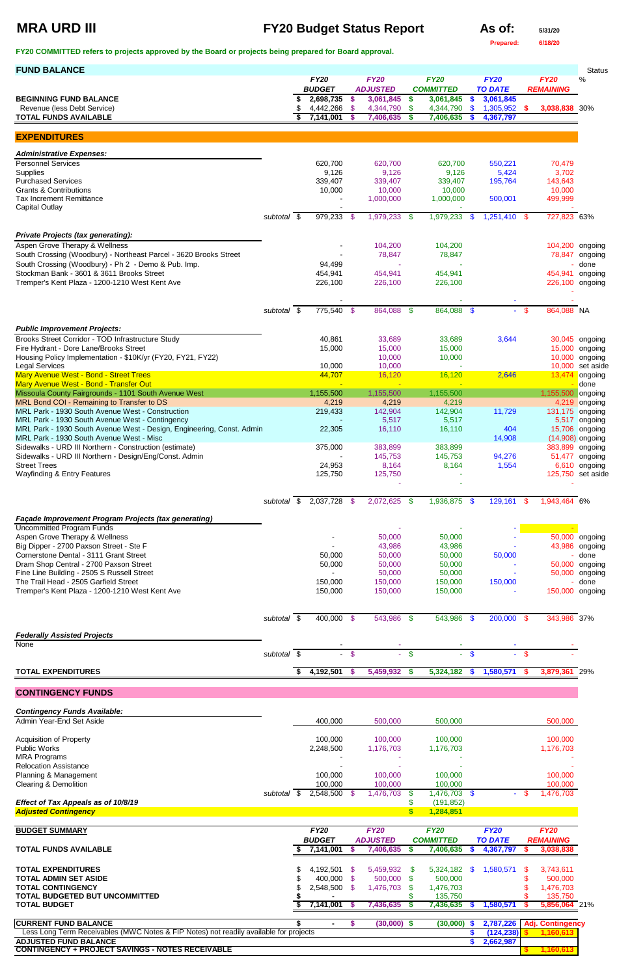## **MRA URD III FY20 Budget Status Report As of:**  $\frac{5}{31/20}$

**Prepared: 6/18/20**

|  |  |  |  |  |  |  |  | FY20 COMMITTED refers to projects approved by the Board or projects being prepared for Board approval. |
|--|--|--|--|--|--|--|--|--------------------------------------------------------------------------------------------------------|
|--|--|--|--|--|--|--|--|--------------------------------------------------------------------------------------------------------|

| <b>FUND BALANCE</b>                                                                                |                          |    |                            |               |                              |                |                               |      |                             |          |                   | <b>Status</b>                         |
|----------------------------------------------------------------------------------------------------|--------------------------|----|----------------------------|---------------|------------------------------|----------------|-------------------------------|------|-----------------------------|----------|-------------------|---------------------------------------|
|                                                                                                    |                          |    | <b>FY20</b>                |               | <b>FY20</b>                  |                | <b>FY20</b>                   |      | <b>FY20</b>                 |          | <b>FY20</b>       | $\%$                                  |
| <b>BEGINNING FUND BALANCE</b>                                                                      |                          | S  | <b>BUDGET</b><br>2,698,735 | $\mathbf{\$}$ | <b>ADJUSTED</b><br>3,061,845 | \$             | <b>COMMITTED</b><br>3,061,845 | \$   | <b>TO DATE</b><br>3,061,845 |          | <b>REMAINING</b>  |                                       |
| Revenue (less Debt Service)                                                                        |                          | \$ | 4,442,266                  | \$            | 4,344,790                    | $\mathfrak{S}$ | 4,344,790                     | \$   | 1,305,952                   | <b>S</b> | 3,038,838 30%     |                                       |
| <b>TOTAL FUNDS AVAILABLE</b>                                                                       |                          |    | 7,141,001                  | <b>S</b>      | 7,406,635                    | \$             | 7,406,635                     | \$   | 4,367,797                   |          |                   |                                       |
|                                                                                                    |                          |    |                            |               |                              |                |                               |      |                             |          |                   |                                       |
| <b>EXPENDITURES</b>                                                                                |                          |    |                            |               |                              |                |                               |      |                             |          |                   |                                       |
| <b>Administrative Expenses:</b>                                                                    |                          |    |                            |               |                              |                |                               |      |                             |          |                   |                                       |
| <b>Personnel Services</b>                                                                          |                          |    | 620,700                    |               | 620,700                      |                | 620,700                       |      | 550,221                     |          | 70,479            |                                       |
| Supplies                                                                                           |                          |    | 9,126                      |               | 9,126                        |                | 9,126                         |      | 5,424                       |          | 3,702             |                                       |
| <b>Purchased Services</b><br><b>Grants &amp; Contributions</b>                                     |                          |    | 339,407<br>10,000          |               | 339,407<br>10,000            |                | 339,407<br>10,000             |      | 195,764                     |          | 143,643<br>10,000 |                                       |
| <b>Tax Increment Remittance</b>                                                                    |                          |    |                            |               | 1,000,000                    |                | 1,000,000                     |      | 500,001                     |          | 499,999           |                                       |
| <b>Capital Outlay</b>                                                                              |                          |    |                            |               |                              |                |                               |      |                             |          |                   |                                       |
|                                                                                                    | subtotal \$              |    | 979,233 \$                 |               | 1,979,233 \$                 |                | $1,979,233$ \$                |      | $1,251,410$ \$              |          | 727,823 63%       |                                       |
| <b>Private Projects (tax generating):</b>                                                          |                          |    |                            |               |                              |                |                               |      |                             |          |                   |                                       |
| Aspen Grove Therapy & Wellness                                                                     |                          |    |                            |               | 104,200                      |                | 104,200                       |      |                             |          |                   | 104,200 ongoing                       |
| South Crossing (Woodbury) - Northeast Parcel - 3620 Brooks Street                                  |                          |    |                            |               | 78,847                       |                | 78,847                        |      |                             |          |                   | 78,847 ongoing                        |
| South Crossing (Woodbury) - Ph 2 - Demo & Pub. Imp.<br>Stockman Bank - 3601 & 3611 Brooks Street   |                          |    | 94,499<br>454,941          |               | 454,941                      |                | 454,941                       |      |                             |          |                   | done<br>454,941 ongoing               |
| Tremper's Kent Plaza - 1200-1210 West Kent Ave                                                     |                          |    | 226,100                    |               | 226,100                      |                | 226,100                       |      |                             |          |                   | 226,100 ongoing                       |
|                                                                                                    |                          |    |                            |               |                              |                |                               |      |                             |          |                   |                                       |
|                                                                                                    |                          |    |                            |               |                              |                |                               |      |                             |          |                   |                                       |
|                                                                                                    | subtotal $\overline{\$}$ |    | 775,540 \$                 |               | 864,088 \$                   |                | 864,088 \$                    |      |                             | $-$ \$   | 864,088 NA        |                                       |
| <b>Public Improvement Projects:</b>                                                                |                          |    |                            |               |                              |                |                               |      |                             |          |                   |                                       |
| Brooks Street Corridor - TOD Infrastructure Study                                                  |                          |    | 40,861                     |               | 33,689                       |                | 33,689                        |      | 3,644                       |          |                   | 30,045 ongoing                        |
| Fire Hydrant - Dore Lane/Brooks Street                                                             |                          |    | 15,000                     |               | 15,000                       |                | 15,000                        |      |                             |          | 15,000            | ongoing                               |
| Housing Policy Implementation - \$10K/yr (FY20, FY21, FY22)<br><b>Legal Services</b>               |                          |    | 10,000                     |               | 10,000<br>10,000             |                | 10,000                        |      |                             |          | 10,000<br>10,000  | ongoing<br>set aside                  |
| Mary Avenue West - Bond - Street Trees                                                             |                          |    | 44,707                     |               | 16,120                       |                | 16,120                        |      | 2,646                       |          | 13,474            | ongoing                               |
| Mary Avenue West - Bond - Transfer Out                                                             |                          |    |                            |               |                              |                |                               |      |                             |          |                   | done                                  |
| Missoula County Fairgrounds - 1101 South Avenue West<br>MRL Bond COI - Remaining to Transfer to DS |                          |    | 1,155,500<br>4,219         |               | 1,155,500<br>4,219           |                | 1,155,500<br>4,219            |      |                             |          | 1,155,500         | ongoing<br>4,219 ongoing              |
| MRL Park - 1930 South Avenue West - Construction                                                   |                          |    | 219,433                    |               | 142,904                      |                | 142,904                       |      | 11,729                      |          |                   | 131,175 ongoing                       |
| MRL Park - 1930 South Avenue West - Contingency                                                    |                          |    |                            |               | 5,517                        |                | 5,517                         |      |                             |          |                   | 5,517 ongoing                         |
| MRL Park - 1930 South Avenue West - Design, Engineering, Const. Admin                              |                          |    | 22,305                     |               | 16,110                       |                | 16,110                        |      | 404                         |          |                   | 15,706 ongoing                        |
| MRL Park - 1930 South Avenue West - Misc<br>Sidewalks - URD III Northern - Construction (estimate) |                          |    | 375,000                    |               | 383,899                      |                | 383,899                       |      | 14,908                      |          |                   | $(14,908)$ ongoing<br>383,899 ongoing |
| Sidewalks - URD III Northern - Design/Eng/Const. Admin                                             |                          |    |                            |               | 145,753                      |                | 145,753                       |      | 94,276                      |          | 51,477            | ongoing                               |
| <b>Street Trees</b>                                                                                |                          |    | 24,953                     |               | 8,164                        |                | 8,164                         |      | 1,554                       |          |                   | 6,610 ongoing                         |
| <b>Wayfinding &amp; Entry Features</b>                                                             |                          |    | 125,750                    |               | 125,750                      |                |                               |      |                             |          |                   | 125,750 set aside                     |
|                                                                                                    |                          |    |                            |               |                              |                |                               |      |                             |          |                   |                                       |
|                                                                                                    | subtotal \$              |    | 2,037,728 \$               |               | $2,072,625$ \$               |                | 1,936,875 \$                  |      | 129,161                     | - \$     | 1,943,464 6%      |                                       |
| Façade Improvement Program Projects (tax generating)                                               |                          |    |                            |               |                              |                |                               |      |                             |          |                   |                                       |
| <b>Uncommitted Program Funds</b>                                                                   |                          |    |                            |               |                              |                |                               |      |                             |          |                   |                                       |
| Aspen Grove Therapy & Wellness                                                                     |                          |    |                            |               | 50,000                       |                | 50,000                        |      |                             |          |                   | 50,000 ongoing                        |
| Big Dipper - 2700 Paxson Street - Ste F<br>Cornerstone Dental - 3111 Grant Street                  |                          |    |                            |               | 43,986                       |                | 43,986                        |      |                             |          |                   | 43,986 ongoing                        |
| Dram Shop Central - 2700 Paxson Street                                                             |                          |    | 50,000<br>50,000           |               | 50,000<br>50,000             |                | 50,000<br>50,000              |      | 50,000                      |          |                   | done<br>50,000 ongoing                |
| Fine Line Building - 2505 S Russell Street                                                         |                          |    |                            |               | 50,000                       |                | 50,000                        |      |                             |          |                   | 50,000 ongoing                        |
| The Trail Head - 2505 Garfield Street                                                              |                          |    | 150,000                    |               | 150,000                      |                | 150,000                       |      | 150,000                     |          |                   | done                                  |
| Tremper's Kent Plaza - 1200-1210 West Kent Ave                                                     |                          |    | 150,000                    |               | 150,000                      |                | 150,000                       |      |                             |          | 150,000 ongoing   |                                       |
|                                                                                                    |                          |    |                            |               |                              |                |                               |      |                             |          |                   |                                       |
|                                                                                                    | subtotal \$              |    | $400,000$ \$               |               | 543,986 \$                   |                | 543,986                       | - \$ | 200,000 \$                  |          | 343,986 37%       |                                       |
| <b>Federally Assisted Projects</b>                                                                 |                          |    |                            |               |                              |                |                               |      |                             |          |                   |                                       |
| None                                                                                               |                          |    |                            |               |                              |                |                               |      |                             |          |                   |                                       |
|                                                                                                    | subtotal \$              |    |                            | $\sqrt[6]{3}$ |                              | $\mathbf{\$}$  |                               | S.   |                             | - \$     |                   |                                       |
| <b>TOTAL EXPENDITURES</b>                                                                          |                          | S  | 4,192,501                  | $\sqrt[6]{3}$ | 5,459,932 \$                 |                | 5,324,182 \$                  |      | 1,580,571                   | - 5      | 3,879,361 29%     |                                       |
|                                                                                                    |                          |    |                            |               |                              |                |                               |      |                             |          |                   |                                       |

### **CONTINGENCY FUNDS**

*Contingency Funds Available:*

| Admin Year-End Set Aside                                                              |          |     | 400,000       |          | 500,000         |          | 500,000              |     |                |      | 500,000                  |  |
|---------------------------------------------------------------------------------------|----------|-----|---------------|----------|-----------------|----------|----------------------|-----|----------------|------|--------------------------|--|
| <b>Acquisition of Property</b>                                                        |          |     | 100,000       |          | 100,000         |          | 100,000              |     |                |      | 100,000                  |  |
| <b>Public Works</b>                                                                   |          |     | 2,248,500     |          | 1,176,703       |          | 1,176,703            |     |                |      | 1,176,703                |  |
| <b>MRA Programs</b>                                                                   |          |     |               |          |                 |          |                      |     |                |      |                          |  |
| <b>Relocation Assistance</b>                                                          |          |     |               |          |                 |          |                      |     |                |      |                          |  |
| Planning & Management                                                                 |          |     | 100,000       |          | 100,000         |          | 100,000              |     |                |      | 100,000                  |  |
| <b>Clearing &amp; Demolition</b>                                                      |          |     | 100,000       |          | 100,000         |          | 100,000              |     |                |      | 100,000                  |  |
|                                                                                       | subtotal | - S | 2,548,500 \$  |          | 1,476,703       | S.       | 1,476,703            | \$. |                | - \$ | 1,476,703                |  |
| Effect of Tax Appeals as of 10/8/19                                                   |          |     |               |          |                 |          | (191, 852)           |     |                |      |                          |  |
| <b>Adjusted Contingency</b>                                                           |          |     |               |          |                 |          | 1,284,851            |     |                |      |                          |  |
|                                                                                       |          |     |               |          |                 |          |                      |     |                |      |                          |  |
| <b>BUDGET SUMMARY</b>                                                                 |          |     | <b>FY20</b>   |          | <b>FY20</b>     |          | <b>FY20</b>          |     | <b>FY20</b>    |      | <b>FY20</b>              |  |
|                                                                                       |          |     | <b>BUDGET</b> |          | <b>ADJUSTED</b> |          | <b>COMMITTED</b>     |     | <b>TO DATE</b> |      | <b>REMAINING</b>         |  |
| <b>TOTAL FUNDS AVAILABLE</b>                                                          |          |     | 7,141,001     | <b>S</b> | 7,406,635       | <b>S</b> | 7,406,635            | S.  | 4,367,797      |      | 3,038,838                |  |
| <b>TOTAL EXPENDITURES</b>                                                             |          |     | 4,192,501     | - \$     | 5,459,932       | S.       |                      | \$. | 1,580,571      | S    | 3,743,611                |  |
|                                                                                       |          |     |               |          |                 |          |                      |     |                |      |                          |  |
| <b>TOTAL ADMIN SET ASIDE</b>                                                          |          |     |               | - \$     |                 | -\$      | 5,324,182<br>500,000 |     |                |      | 500,000                  |  |
|                                                                                       |          |     | 400,000       | - \$     | 500,000         |          |                      |     |                |      |                          |  |
| <b>TOTAL CONTINGENCY</b><br><b>TOTAL BUDGETED BUT UNCOMMITTED</b>                     |          |     | 2,548,500     |          | 1,476,703       |          | 1,476,703            |     |                |      | 1,476,703                |  |
| <b>TOTAL BUDGET</b>                                                                   |          |     | 7,141,001     |          | 7,436,635       |          | 135,750<br>7,436,635 |     | 1,580,571      |      | 135,750<br>5,856,064 21% |  |
| <b>CURRENT FUND BALANCE</b>                                                           |          |     |               | S.       | $(30,000)$ \$   |          | (30,000)             |     | 2,787,226      |      | <b>Adj. Contingency</b>  |  |
| Less Long Term Receivables (MWC Notes & FIP Notes) not readily available for projects |          |     |               |          |                 |          |                      |     | (124, 238)     |      | 1,160,613                |  |
| <b>ADJUSTED FUND BALANCE</b>                                                          |          |     |               |          |                 |          |                      |     | 2,662,987      |      |                          |  |
| <b>CONTINGENCY + PROJECT SAVINGS - NOTES RECEIVABLE</b>                               |          |     |               |          |                 |          |                      |     |                |      | 1,160,613                |  |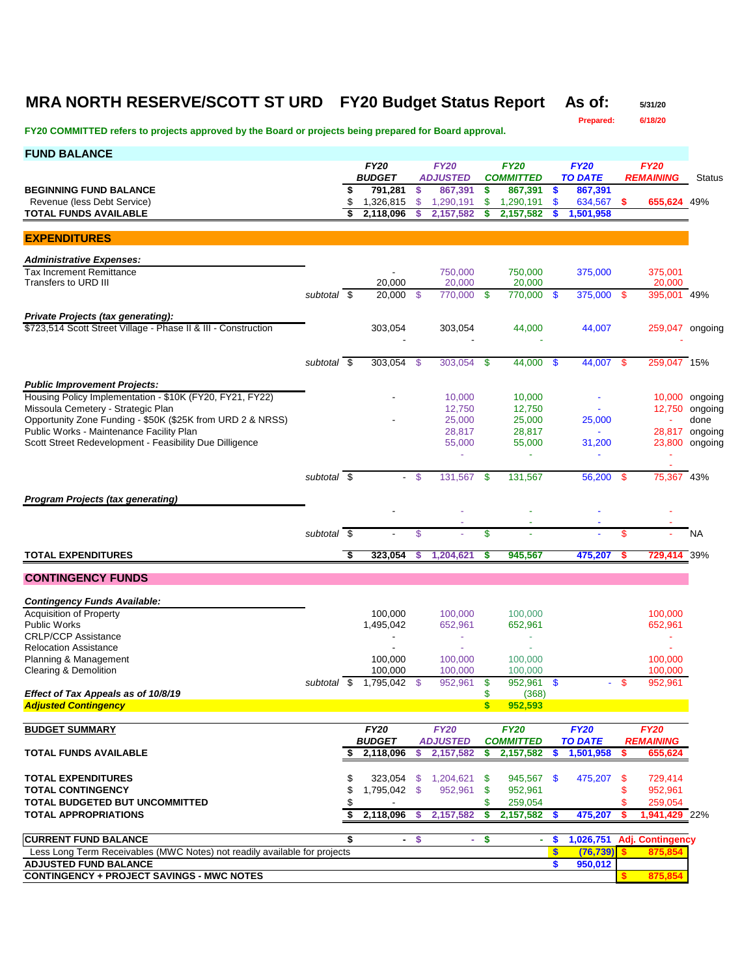### **MRA NORTH RESERVE/SCOTT ST URD FY20 Budget Status Report As of: 5/31/20**

**Prepared: 6/18/20**

| <b>FUND BALANCE</b>                                                                              |                          |          |                          |               |                            |          |                             |                  |                           |          |                         |                        |
|--------------------------------------------------------------------------------------------------|--------------------------|----------|--------------------------|---------------|----------------------------|----------|-----------------------------|------------------|---------------------------|----------|-------------------------|------------------------|
|                                                                                                  |                          |          | <b>FY20</b>              |               | <b>FY20</b>                |          | <b>FY20</b>                 |                  | <b>FY20</b>               |          | <b>FY20</b>             |                        |
| <b>BEGINNING FUND BALANCE</b>                                                                    |                          | \$       | <b>BUDGET</b><br>791,281 | \$            | <b>ADJUSTED</b><br>867,391 | \$       | <b>COMMITTED</b><br>867,391 | - \$             | <b>TO DATE</b><br>867,391 |          | <b>REMAINING</b>        | <b>Status</b>          |
| Revenue (less Debt Service)                                                                      |                          | \$       | 1,326,815                | \$            | 1,290,191                  | \$       | 1,290,191                   | \$               | 634,567 \$                |          | 655,624 49%             |                        |
| <b>TOTAL FUNDS AVAILABLE</b>                                                                     |                          | \$       | 2,118,096                |               | 2,157,582                  | \$       | 2,157,582                   |                  | 1,501,958                 |          |                         |                        |
|                                                                                                  |                          |          |                          |               |                            |          |                             |                  |                           |          |                         |                        |
| <b>EXPENDITURES</b>                                                                              |                          |          |                          |               |                            |          |                             |                  |                           |          |                         |                        |
| <b>Administrative Expenses:</b>                                                                  |                          |          |                          |               |                            |          |                             |                  |                           |          |                         |                        |
| <b>Tax Increment Remittance</b>                                                                  |                          |          | $\blacksquare$           |               | 750,000                    |          | 750,000                     |                  | 375,000                   |          | 375,001                 |                        |
| Transfers to URD III                                                                             |                          |          | 20.000                   |               | 20,000                     |          | 20,000                      |                  |                           |          | 20,000                  |                        |
|                                                                                                  | subtotal \$              |          | 20,000                   | -\$           | 770,000 \$                 |          | 770.000                     | - \$             | 375,000 \$                |          | 395,001 49%             |                        |
| Private Projects (tax generating):                                                               |                          |          |                          |               |                            |          |                             |                  |                           |          |                         |                        |
| \$723,514 Scott Street Village - Phase II & III - Construction                                   |                          |          | 303,054                  |               | 303,054                    |          | 44,000                      |                  | 44,007                    |          | 259,047 ongoing         |                        |
|                                                                                                  |                          |          |                          |               |                            |          |                             |                  |                           |          |                         |                        |
|                                                                                                  | subtotal \$              |          | 303,054                  | - \$          | 303,054 \$                 |          | 44,000 \$                   |                  | 44,007 \$                 |          | 259,047 15%             |                        |
|                                                                                                  |                          |          |                          |               |                            |          |                             |                  |                           |          |                         |                        |
| <b>Public Improvement Projects:</b>                                                              |                          |          |                          |               |                            |          |                             |                  |                           |          |                         |                        |
| Housing Policy Implementation - \$10K (FY20, FY21, FY22)                                         |                          |          |                          |               | 10,000                     |          | 10,000                      |                  |                           |          |                         | 10,000 ongoing         |
| Missoula Cemetery - Strategic Plan<br>Opportunity Zone Funding - \$50K (\$25K from URD 2 & NRSS) |                          |          |                          |               | 12,750<br>25,000           |          | 12,750<br>25,000            |                  | 25,000                    |          |                         | 12,750 ongoing<br>done |
| Public Works - Maintenance Facility Plan                                                         |                          |          |                          |               | 28,817                     |          | 28,817                      |                  | ÷                         |          |                         | 28,817 ongoing         |
| Scott Street Redevelopment - Feasibility Due Dilligence                                          |                          |          |                          |               | 55,000                     |          | 55,000                      |                  | 31,200                    |          |                         | 23,800 ongoing         |
|                                                                                                  |                          |          |                          |               | ÷                          |          | $\blacksquare$              |                  |                           |          |                         |                        |
|                                                                                                  | subtotal \$              |          |                          | - \$          | 131,567                    | - \$     | 131,567                     |                  | 56,200 \$                 |          |                         | 43%                    |
|                                                                                                  |                          |          |                          |               |                            |          |                             |                  |                           |          | 75,367                  |                        |
| <b>Program Projects (tax generating)</b>                                                         |                          |          |                          |               |                            |          |                             |                  |                           |          |                         |                        |
|                                                                                                  |                          |          |                          |               |                            |          |                             |                  |                           |          |                         |                        |
|                                                                                                  | subtotal $\overline{\$}$ |          |                          | \$            |                            | \$       |                             |                  |                           | \$       |                         | NA                     |
|                                                                                                  |                          |          |                          |               |                            |          |                             |                  |                           |          |                         |                        |
| <b>TOTAL EXPENDITURES</b>                                                                        |                          | \$       | 323,054                  | \$            | 1,204,621                  | \$       | 945,567                     |                  | 475,207                   | \$       | <b>729,414</b> 39%      |                        |
| <b>CONTINGENCY FUNDS</b>                                                                         |                          |          |                          |               |                            |          |                             |                  |                           |          |                         |                        |
|                                                                                                  |                          |          |                          |               |                            |          |                             |                  |                           |          |                         |                        |
| <b>Contingency Funds Available:</b>                                                              |                          |          |                          |               |                            |          |                             |                  |                           |          |                         |                        |
| <b>Acquisition of Property</b>                                                                   |                          |          | 100,000                  |               | 100,000                    |          | 100,000                     |                  |                           |          | 100,000                 |                        |
| <b>Public Works</b>                                                                              |                          |          | 1,495,042                |               | 652,961                    |          | 652,961                     |                  |                           |          | 652,961                 |                        |
| <b>CRLP/CCP Assistance</b><br><b>Relocation Assistance</b>                                       |                          |          | $\overline{\phantom{a}}$ |               | ÷                          |          | $\sim$                      |                  |                           |          | $\omega$                |                        |
| Planning & Management                                                                            |                          |          | 100,000                  |               | 100,000                    |          | 100,000                     |                  |                           |          | 100,000                 |                        |
| Clearing & Demolition                                                                            |                          |          | 100,000                  |               | 100,000                    |          | 100,000                     |                  |                           |          | 100,000                 |                        |
|                                                                                                  | subtotal \$              |          | 1,795,042                | -\$           | 952,961                    | \$       | 952,961                     | - \$             |                           | -\$      | 952,961                 |                        |
| Effect of Tax Appeals as of 10/8/19                                                              |                          |          |                          |               |                            | \$<br>S. | (368)<br>952,593            |                  |                           |          |                         |                        |
| <b>Adjusted Contingency</b>                                                                      |                          |          |                          |               |                            |          |                             |                  |                           |          |                         |                        |
| <b>BUDGET SUMMARY</b>                                                                            |                          |          | <b>FY20</b>              |               | <b>FY20</b>                |          | <b>FY20</b>                 |                  | <b>FY20</b>               |          | <b>FY20</b>             |                        |
|                                                                                                  |                          |          | <b>BUDGET</b>            |               | <b>ADJUSTED</b>            |          | <b>COMMITTED</b>            |                  | <b>TO DATE</b>            |          | <b>REMAINING</b>        |                        |
| <b>TOTAL FUNDS AVAILABLE</b>                                                                     |                          |          | \$2,118,096              | \$            | 2,157,582                  | S        | 2,157,582                   | S                | 1,501,958                 | \$       | 655,624                 |                        |
|                                                                                                  |                          |          |                          |               |                            |          |                             |                  |                           |          |                         |                        |
| <b>TOTAL EXPENDITURES</b><br><b>TOTAL CONTINGENCY</b>                                            |                          | \$       | 323,054                  |               | \$1,204,621                | - \$     | 945,567 \$                  |                  | 475,207                   | - \$     | 729,414                 |                        |
| <b>TOTAL BUDGETED BUT UNCOMMITTED</b>                                                            |                          | \$<br>\$ | 1,795,042 \$             |               | 952,961                    | \$<br>\$ | 952,961<br>259,054          |                  |                           | \$<br>\$ | 952,961<br>259,054      |                        |
| <b>TOTAL APPROPRIATIONS</b>                                                                      |                          | \$       | 2,118,096                | \$            | 2,157,582                  | \$       | 2,157,582                   | -S               | 475,207                   | \$       | 1,941,429 22%           |                        |
|                                                                                                  |                          |          |                          |               |                            |          |                             |                  |                           |          |                         |                        |
| <b>CURRENT FUND BALANCE</b>                                                                      |                          | \$       | $\blacksquare$           | $\mathbf{\$}$ | ÷.                         | \$       | $\blacksquare$              | \$               | 1,026,751                 |          | <b>Adj. Contingency</b> |                        |
| Less Long Term Receivables (MWC Notes) not readily available for projects                        |                          |          |                          |               |                            |          |                             | $\boldsymbol{s}$ | (76, 739)                 |          | 875,854                 |                        |
| <b>ADJUSTED FUND BALANCE</b>                                                                     |                          |          |                          |               |                            |          |                             | \$               | 950,012                   |          |                         |                        |
| <b>CONTINGENCY + PROJECT SAVINGS - MWC NOTES</b>                                                 |                          |          |                          |               |                            |          |                             |                  |                           |          | 875,854                 |                        |